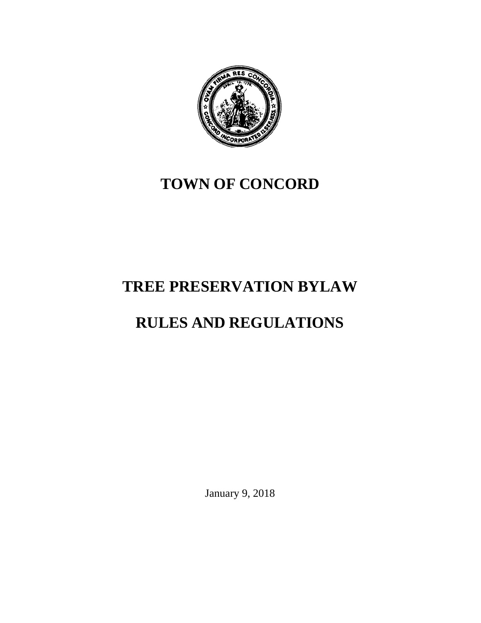

## **TOWN OF CONCORD**

# **TREE PRESERVATION BYLAW**

# **RULES AND REGULATIONS**

January 9, 2018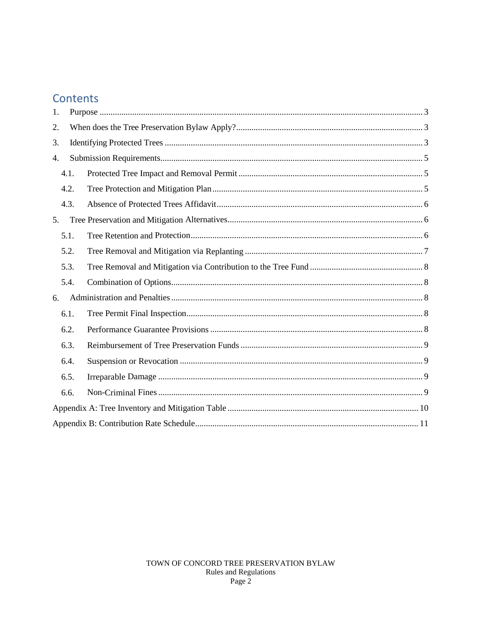### Contents

| 1.   |  |  |  |  |
|------|--|--|--|--|
| 2.   |  |  |  |  |
| 3.   |  |  |  |  |
| 4.   |  |  |  |  |
| 4.1. |  |  |  |  |
| 4.2. |  |  |  |  |
| 4.3. |  |  |  |  |
| 5.   |  |  |  |  |
| 5.1. |  |  |  |  |
| 5.2. |  |  |  |  |
| 5.3. |  |  |  |  |
| 5.4. |  |  |  |  |
| 6.   |  |  |  |  |
| 6.1. |  |  |  |  |
| 6.2. |  |  |  |  |
| 6.3. |  |  |  |  |
| 6.4. |  |  |  |  |
| 6.5. |  |  |  |  |
| 6.6. |  |  |  |  |
|      |  |  |  |  |
|      |  |  |  |  |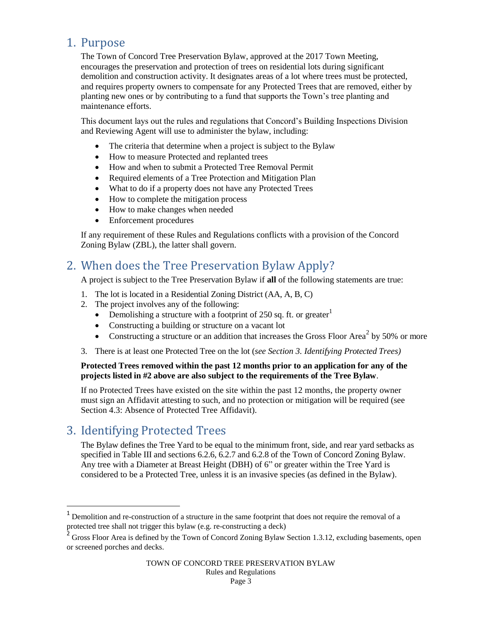### <span id="page-2-0"></span>1. Purpose

The Town of Concord Tree Preservation Bylaw, approved at the 2017 Town Meeting, encourages the preservation and protection of trees on residential lots during significant demolition and construction activity. It designates areas of a lot where trees must be protected, and requires property owners to compensate for any Protected Trees that are removed, either by planting new ones or by contributing to a fund that supports the Town's tree planting and maintenance efforts.

This document lays out the rules and regulations that Concord's Building Inspections Division and Reviewing Agent will use to administer the bylaw, including:

- The criteria that determine when a project is subject to the Bylaw
- How to measure Protected and replanted trees
- How and when to submit a Protected Tree Removal Permit
- Required elements of a Tree Protection and Mitigation Plan
- What to do if a property does not have any Protected Trees
- How to complete the mitigation process
- How to make changes when needed
- Enforcement procedures

If any requirement of these Rules and Regulations conflicts with a provision of the Concord Zoning Bylaw (ZBL), the latter shall govern.

### <span id="page-2-1"></span>2. When does the Tree Preservation Bylaw Apply?

A project is subject to the Tree Preservation Bylaw if **all** of the following statements are true:

- 1. The lot is located in a Residential Zoning District (AA, A, B, C)
- 2. The project involves any of the following:
	- Demolishing a structure with a footprint of 250 sq. ft. or greater<sup>1</sup>
	- Constructing a building or structure on a vacant lot
	- Constructing a structure or an addition that increases the Gross Floor Area<sup>2</sup> by 50% or more
- 3. There is at least one Protected Tree on the lot (*see Section 3. Identifying Protected Trees)*

#### **Protected Trees removed within the past 12 months prior to an application for any of the projects listed in #2 above are also subject to the requirements of the Tree Bylaw**.

If no Protected Trees have existed on the site within the past 12 months, the property owner must sign an Affidavit attesting to such, and no protection or mitigation will be required (see Section 4.3: Absence of Protected Tree Affidavit).

### <span id="page-2-2"></span>3. Identifying Protected Trees

 $\overline{a}$ 

The Bylaw defines the Tree Yard to be equal to the minimum front, side, and rear yard setbacks as specified in Table III and sections 6.2.6, 6.2.7 and 6.2.8 of the Town of Concord Zoning Bylaw. Any tree with a Diameter at Breast Height (DBH) of 6" or greater within the Tree Yard is considered to be a Protected Tree, unless it is an invasive species (as defined in the Bylaw).

<sup>&</sup>lt;sup>1</sup> Demolition and re-construction of a structure in the same footprint that does not require the removal of a protected tree shall not trigger this bylaw (e.g. re-constructing a deck)

 $2^2$  Gross Floor Area is defined by the Town of Concord Zoning Bylaw Section 1.3.12, excluding basements, open or screened porches and decks.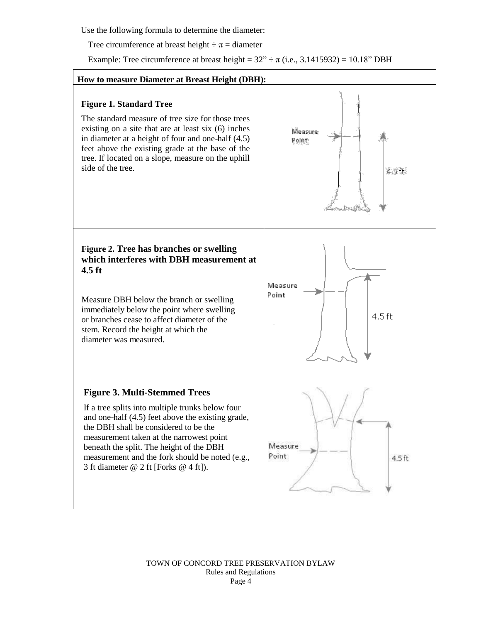Use the following formula to determine the diameter:

Tree circumference at breast height  $\div \pi =$  diameter

Example: Tree circumference at breast height =  $32'' \div \pi$  (i.e., 3.1415932) = 10.18" DBH

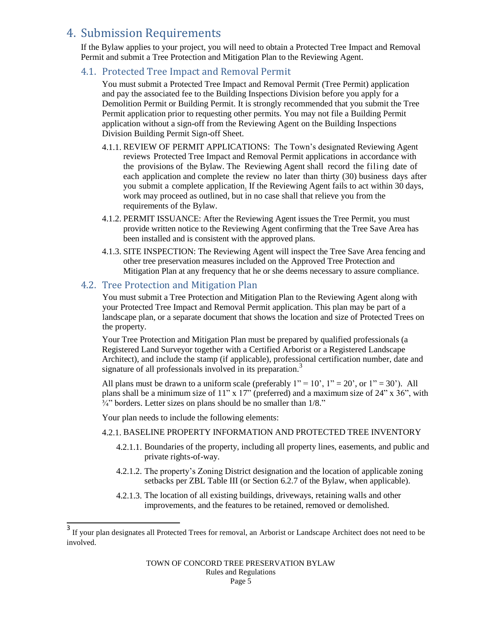### <span id="page-4-0"></span>4. Submission Requirements

If the Bylaw applies to your project, you will need to obtain a Protected Tree Impact and Removal Permit and submit a Tree Protection and Mitigation Plan to the Reviewing Agent.

#### <span id="page-4-1"></span>4.1. Protected Tree Impact and Removal Permit

You must submit a Protected Tree Impact and Removal Permit (Tree Permit) application and pay the associated fee to the Building Inspections Division before you apply for a Demolition Permit or Building Permit. It is strongly recommended that you submit the Tree Permit application prior to requesting other permits. You may not file a Building Permit application without a sign-off from the Reviewing Agent on the Building Inspections Division Building Permit Sign-off Sheet.

- 4.1.1. REVIEW OF PERMIT APPLICATIONS: The Town's designated Reviewing Agent reviews Protected Tree Impact and Removal Permit applications in accordance with the provisions of the Bylaw. The Reviewing Agent shall record the filing date of each application and complete the review no later than thirty (30) business days after you submit a complete application. If the Reviewing Agent fails to act within 30 days, work may proceed as outlined, but in no case shall that relieve you from the requirements of the Bylaw.
- 4.1.2. PERMIT ISSUANCE: After the Reviewing Agent issues the Tree Permit, you must provide written notice to the Reviewing Agent confirming that the Tree Save Area has been installed and is consistent with the approved plans.
- 4.1.3. SITE INSPECTION: The Reviewing Agent will inspect the Tree Save Area fencing and other tree preservation measures included on the Approved Tree Protection and Mitigation Plan at any frequency that he or she deems necessary to assure compliance.

#### <span id="page-4-2"></span>4.2. Tree Protection and Mitigation Plan

You must submit a Tree Protection and Mitigation Plan to the Reviewing Agent along with your Protected Tree Impact and Removal Permit application. This plan may be part of a landscape plan, or a separate document that shows the location and size of Protected Trees on the property.

Your Tree Protection and Mitigation Plan must be prepared by qualified professionals (a Registered Land Surveyor together with a Certified Arborist or a Registered Landscape Architect), and include the stamp (if applicable), professional certification number, date and signature of all professionals involved in its preparation.<sup>3</sup>

All plans must be drawn to a uniform scale (preferably  $1" = 10'$ ,  $1" = 20'$ , or  $1" = 30'$ ). All plans shall be a minimum size of 11" x 17" (preferred) and a maximum size of  $24$ " x  $36$ ", with  $\frac{3}{4}$ " borders. Letter sizes on plans should be no smaller than  $1/8$ ."

Your plan needs to include the following elements:

 $\overline{\phantom{a}}$ 

#### 4.2.1. BASELINE PROPERTY INFORMATION AND PROTECTED TREE INVENTORY

- 4.2.1.1. Boundaries of the property, including all property lines, easements, and public and private rights-of-way.
- 4.2.1.2. The property's Zoning District designation and the location of applicable zoning setbacks per ZBL Table III (or Section 6.2.7 of the Bylaw, when applicable).
- 4.2.1.3. The location of all existing buildings, driveways, retaining walls and other improvements, and the features to be retained, removed or demolished.

<sup>3</sup> If your plan designates all Protected Trees for removal, an Arborist or Landscape Architect does not need to be involved.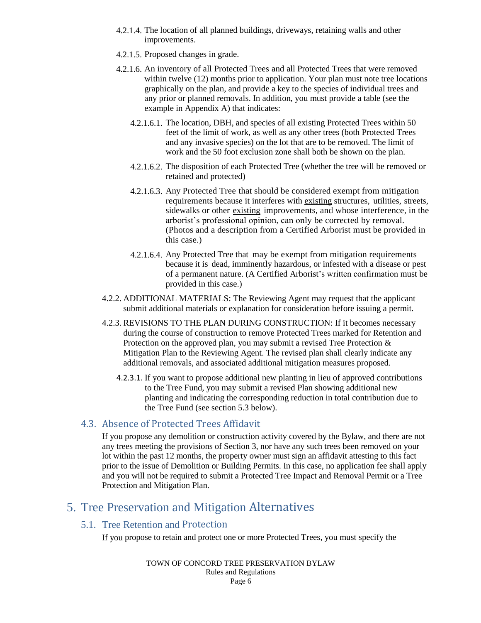- 4.2.1.4. The location of all planned buildings, driveways, retaining walls and other improvements.
- 4.2.1.5. Proposed changes in grade.
- 4.2.1.6. An inventory of all Protected Trees and all Protected Trees that were removed within twelve (12) months prior to application. Your plan must note tree locations graphically on the plan, and provide a key to the species of individual trees and any prior or planned removals. In addition, you must provide a table (see the example in Appendix A) that indicates:
	- 4.2.1.6.1. The location, DBH, and species of all existing Protected Trees within 50 feet of the limit of work, as well as any other trees (both Protected Trees and any invasive species) on the lot that are to be removed. The limit of work and the 50 foot exclusion zone shall both be shown on the plan.
	- 4.2.1.6.2. The disposition of each Protected Tree (whether the tree will be removed or retained and protected)
	- 4.2.1.6.3. Any Protected Tree that should be considered exempt from mitigation requirements because it interferes with existing structures, utilities, streets, sidewalks or other existing improvements, and whose interference, in the arborist's professional opinion, can only be corrected by removal. (Photos and a description from a Certified Arborist must be provided in this case.)
	- 4.2.1.6.4. Any Protected Tree that may be exempt from mitigation requirements because it is dead, imminently hazardous, or infested with a disease or pest of a permanent nature. (A Certified Arborist's written confirmation must be provided in this case.)
- 4.2.2. ADDITIONAL MATERIALS: The Reviewing Agent may request that the applicant submit additional materials or explanation for consideration before issuing a permit.
- 4.2.3. REVISIONS TO THE PLAN DURING CONSTRUCTION: If it becomes necessary during the course of construction to remove Protected Trees marked for Retention and Protection on the approved plan, you may submit a revised Tree Protection  $\&$ Mitigation Plan to the Reviewing Agent. The revised plan shall clearly indicate any additional removals, and associated additional mitigation measures proposed.
	- 4.2.3.1. If you want to propose additional new planting in lieu of approved contributions to the Tree Fund, you may submit a revised Plan showing additional new planting and indicating the corresponding reduction in total contribution due to the Tree Fund (see section 5.3 below).

#### <span id="page-5-0"></span>4.3. Absence of Protected Trees Affidavit

If you propose any demolition or construction activity covered by the Bylaw, and there are not any trees meeting the provisions of Section 3, nor have any such trees been removed on your lot within the past 12 months, the property owner must sign an affidavit attesting to this fact prior to the issue of Demolition or Building Permits. In this case, no application fee shall apply and you will not be required to submit a Protected Tree Impact and Removal Permit or a Tree Protection and Mitigation Plan.

### <span id="page-5-2"></span><span id="page-5-1"></span>5. Tree Preservation and Mitigation Alternatives

#### 5.1. Tree Retention and Protection

If you propose to retain and protect one or more Protected Trees, you must specify the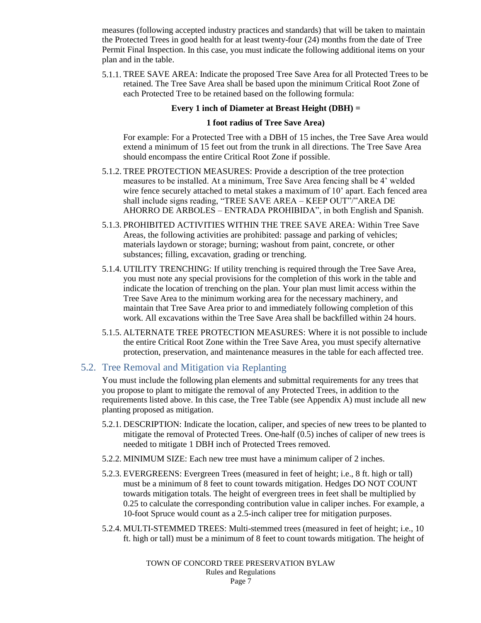measures (following accepted industry practices and standards) that will be taken to maintain the Protected Trees in good health for at least twenty-four (24) months from the date of Tree Permit Final Inspection. In this case, you must indicate the following additional items on your plan and in the table.

5.1.1. TREE SAVE AREA: Indicate the proposed Tree Save Area for all Protected Trees to be retained. The Tree Save Area shall be based upon the minimum Critical Root Zone of each Protected Tree to be retained based on the following formula:

#### **Every 1 inch of Diameter at Breast Height (DBH) =**

#### **1 foot radius of Tree Save Area)**

For example: For a Protected Tree with a DBH of 15 inches, the Tree Save Area would extend a minimum of 15 feet out from the trunk in all directions. The Tree Save Area should encompass the entire Critical Root Zone if possible.

- 5.1.2. TREE PROTECTION MEASURES: Provide a description of the tree protection measures to be installed. At a minimum, Tree Save Area fencing shall be 4' welded wire fence securely attached to metal stakes a maximum of 10' apart. Each fenced area shall include signs reading, "TREE SAVE AREA – KEEP OUT"/"AREA DE AHORRO DE ARBOLES – ENTRADA PROHIBIDA", in both English and Spanish.
- 5.1.3. PROHIBITED ACTIVITIES WITHIN THE TREE SAVE AREA: Within Tree Save Areas, the following activities are prohibited: passage and parking of vehicles; materials laydown or storage; burning; washout from paint, concrete, or other substances; filling, excavation, grading or trenching.
- 5.1.4. UTILITY TRENCHING: If utility trenching is required through the Tree Save Area, you must note any special provisions for the completion of this work in the table and indicate the location of trenching on the plan. Your plan must limit access within the Tree Save Area to the minimum working area for the necessary machinery, and maintain that Tree Save Area prior to and immediately following completion of this work. All excavations within the Tree Save Area shall be backfilled within 24 hours.
- 5.1.5. ALTERNATE TREE PROTECTION MEASURES: Where it is not possible to include the entire Critical Root Zone within the Tree Save Area, you must specify alternative protection, preservation, and maintenance measures in the table for each affected tree.

#### <span id="page-6-0"></span>5.2. Tree Removal and Mitigation via Replanting

You must include the following plan elements and submittal requirements for any trees that you propose to plant to mitigate the removal of any Protected Trees, in addition to the requirements listed above. In this case, the Tree Table (see Appendix A) must include all new planting proposed as mitigation.

- 5.2.1. DESCRIPTION: Indicate the location, caliper, and species of new trees to be planted to mitigate the removal of Protected Trees. One-half (0.5) inches of caliper of new trees is needed to mitigate 1 DBH inch of Protected Trees removed.
- 5.2.2. MINIMUM SIZE: Each new tree must have a minimum caliper of 2 inches.
- 5.2.3. EVERGREENS: Evergreen Trees (measured in feet of height; i.e., 8 ft. high or tall) must be a minimum of 8 feet to count towards mitigation. Hedges DO NOT COUNT towards mitigation totals. The height of evergreen trees in feet shall be multiplied by 0.25 to calculate the corresponding contribution value in caliper inches. For example, a 10-foot Spruce would count as a 2.5-inch caliper tree for mitigation purposes.
- 5.2.4. MULTI-STEMMED TREES: Multi-stemmed trees (measured in feet of height; i.e., 10 ft. high or tall) must be a minimum of 8 feet to count towards mitigation. The height of

TOWN OF CONCORD TREE PRESERVATION BYLAW Rules and Regulations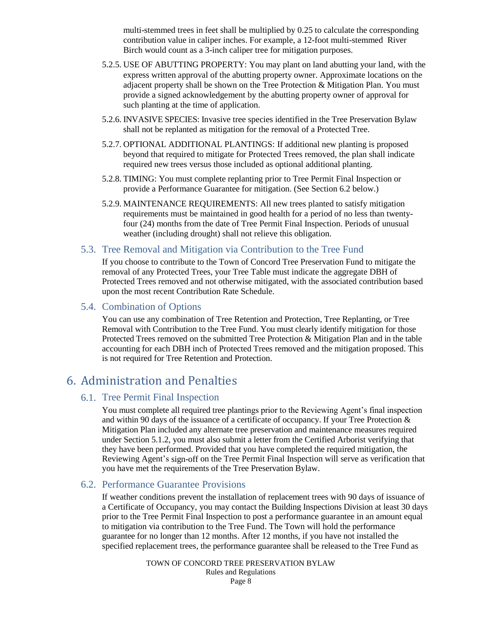multi-stemmed trees in feet shall be multiplied by 0.25 to calculate the corresponding contribution value in caliper inches. For example, a 12-foot multi-stemmed River Birch would count as a 3-inch caliper tree for mitigation purposes.

- 5.2.5. USE OF ABUTTING PROPERTY: You may plant on land abutting your land, with the express written approval of the abutting property owner. Approximate locations on the adjacent property shall be shown on the Tree Protection & Mitigation Plan. You must provide a signed acknowledgement by the abutting property owner of approval for such planting at the time of application.
- 5.2.6. INVASIVE SPECIES: Invasive tree species identified in the Tree Preservation Bylaw shall not be replanted as mitigation for the removal of a Protected Tree.
- 5.2.7. OPTIONAL ADDITIONAL PLANTINGS: If additional new planting is proposed beyond that required to mitigate for Protected Trees removed, the plan shall indicate required new trees versus those included as optional additional planting.
- 5.2.8. TIMING: You must complete replanting prior to Tree Permit Final Inspection or provide a Performance Guarantee for mitigation. (See Section 6.2 below.)
- 5.2.9. MAINTENANCE REQUIREMENTS: All new trees planted to satisfy mitigation requirements must be maintained in good health for a period of no less than twentyfour (24) months from the date of Tree Permit Final Inspection. Periods of unusual weather (including drought) shall not relieve this obligation.
- <span id="page-7-0"></span>5.3. Tree Removal and Mitigation via Contribution to the Tree Fund

If you choose to contribute to the Town of Concord Tree Preservation Fund to mitigate the removal of any Protected Trees, your Tree Table must indicate the aggregate DBH of Protected Trees removed and not otherwise mitigated, with the associated contribution based upon the most recent Contribution Rate Schedule.

#### <span id="page-7-1"></span>5.4. Combination of Options

You can use any combination of Tree Retention and Protection, Tree Replanting, or Tree Removal with Contribution to the Tree Fund. You must clearly identify mitigation for those Protected Trees removed on the submitted Tree Protection & Mitigation Plan and in the table accounting for each DBH inch of Protected Trees removed and the mitigation proposed. This is not required for Tree Retention and Protection.

### <span id="page-7-3"></span><span id="page-7-2"></span>6. Administration and Penalties

#### 6.1. Tree Permit Final Inspection

You must complete all required tree plantings prior to the Reviewing Agent's final inspection and within 90 days of the issuance of a certificate of occupancy. If your Tree Protection  $\&$ Mitigation Plan included any alternate tree preservation and maintenance measures required under Section 5.1.2, you must also submit a letter from the Certified Arborist verifying that they have been performed. Provided that you have completed the required mitigation, the Reviewing Agent's sign-off on the Tree Permit Final Inspection will serve as verification that you have met the requirements of the Tree Preservation Bylaw.

#### <span id="page-7-4"></span>6.2. Performance Guarantee Provisions

If weather conditions prevent the installation of replacement trees with 90 days of issuance of a Certificate of Occupancy, you may contact the Building Inspections Division at least 30 days prior to the Tree Permit Final Inspection to post a performance guarantee in an amount equal to mitigation via contribution to the Tree Fund. The Town will hold the performance guarantee for no longer than 12 months. After 12 months, if you have not installed the specified replacement trees, the performance guarantee shall be released to the Tree Fund as

> TOWN OF CONCORD TREE PRESERVATION BYLAW Rules and Regulations Page 8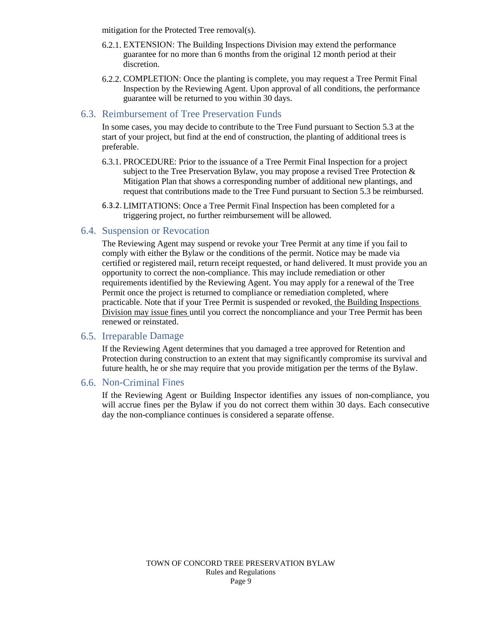mitigation for the Protected Tree removal(s).

- 6.2.1. EXTENSION: The Building Inspections Division may extend the performance guarantee for no more than 6 months from the original 12 month period at their discretion.
- 6.2.2. COMPLETION: Once the planting is complete, you may request a Tree Permit Final Inspection by the Reviewing Agent. Upon approval of all conditions, the performance guarantee will be returned to you within 30 days.

#### <span id="page-8-0"></span>6.3. Reimbursement of Tree Preservation Funds

In some cases, you may decide to contribute to the Tree Fund pursuant to Section 5.3 at the start of your project, but find at the end of construction, the planting of additional trees is preferable.

- 6.3.1. PROCEDURE: Prior to the issuance of a Tree Permit Final Inspection for a project subject to the Tree Preservation Bylaw, you may propose a revised Tree Protection  $\&$ Mitigation Plan that shows a corresponding number of additional new plantings, and request that contributions made to the Tree Fund pursuant to Section 5.3 be reimbursed.
- 6.3.2. LIMITATIONS: Once a Tree Permit Final Inspection has been completed for a triggering project, no further reimbursement will be allowed.

#### <span id="page-8-1"></span>6.4. Suspension or Revocation

The Reviewing Agent may suspend or revoke your Tree Permit at any time if you fail to comply with either the Bylaw or the conditions of the permit. Notice may be made via certified or registered mail, return receipt requested, or hand delivered. It must provide you an opportunity to correct the non-compliance. This may include remediation or other requirements identified by the Reviewing Agent. You may apply for a renewal of the Tree Permit once the project is returned to compliance or remediation completed, where practicable. Note that if your Tree Permit is suspended or revoked, the Building Inspections Division may issue fines until you correct the noncompliance and your Tree Permit has been renewed or reinstated.

#### <span id="page-8-2"></span>6.5. Irreparable Damage

If the Reviewing Agent determines that you damaged a tree approved for Retention and Protection during construction to an extent that may significantly compromise its survival and future health, he or she may require that you provide mitigation per the terms of the Bylaw.

#### <span id="page-8-3"></span>6.6. Non-Criminal Fines

If the Reviewing Agent or Building Inspector identifies any issues of non-compliance, you will accrue fines per the Bylaw if you do not correct them within 30 days. Each consecutive day the non-compliance continues is considered a separate offense.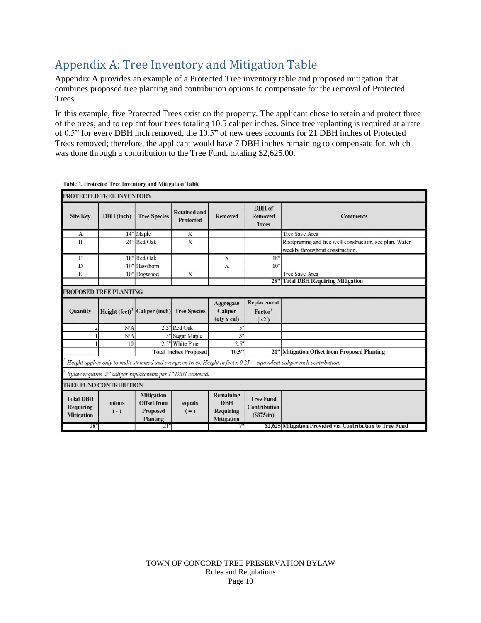## <span id="page-9-0"></span>Appendix A: Tree Inventory and Mitigation Table

Appendix A provides an example of a Protected Tree inventory table and proposed mitigation that combines proposed tree planting and contribution options to compensate for the removal of Protected Trees.

In this example, five Protected Trees exist on the property. The applicant chose to retain and protect three of the trees, and to replant four trees totaling 10.5 caliper inches. Since tree replanting is required at a rate of 0.5" for every DBH inch removed, the 10.5" of new trees accounts for 21 DBH inches of Protected Trees removed; therefore, the applicant would have 7 DBH inches remaining to compensate for, which was done through a contribution to the Tree Fund, totaling \$2,625.00.

| PROTECTED TREE INVENTORY                                   |                               |                                                                 |                                  |                                                           |                                               |                                                                                                                           |  |  |  |
|------------------------------------------------------------|-------------------------------|-----------------------------------------------------------------|----------------------------------|-----------------------------------------------------------|-----------------------------------------------|---------------------------------------------------------------------------------------------------------------------------|--|--|--|
| <b>Site Key</b>                                            | DBH (inch)                    | <b>Tree Species</b>                                             | <b>Retained and</b><br>Protected | <b>Removed</b>                                            | DBH of<br><b>Removed</b><br><b>Trees</b>      | <b>Comments</b>                                                                                                           |  |  |  |
| A                                                          |                               | 14" Maple                                                       | X                                |                                                           |                                               | Tree Save Area                                                                                                            |  |  |  |
| B                                                          |                               | 24" Red Oak                                                     | X                                |                                                           |                                               | Rootpruning and tree well construction, see plan. Water<br>weekly throughout construction.                                |  |  |  |
| $\mathcal{C}$                                              |                               | 18" Red Oak                                                     |                                  | X                                                         | 18"                                           |                                                                                                                           |  |  |  |
| D                                                          |                               | 10" Hawthorn                                                    |                                  | Х                                                         | 10 <sup>2</sup>                               |                                                                                                                           |  |  |  |
| E                                                          |                               | 10" Dogwood                                                     | X                                |                                                           |                                               | Tree Save Area                                                                                                            |  |  |  |
|                                                            |                               |                                                                 |                                  |                                                           |                                               | 28" Total DBH Requiring Mitigation                                                                                        |  |  |  |
| PROPOSED TREE PLANTING                                     |                               |                                                                 |                                  |                                                           |                                               |                                                                                                                           |  |  |  |
| <b>Ouantity</b>                                            |                               | Height $(feet)^1$ Caliper (inch) Tree Species                   |                                  | Aggregate<br>Caliper<br>(qty x cal)                       | Replacement<br>Factor <sup>2</sup><br>(x2)    |                                                                                                                           |  |  |  |
|                                                            | N/A                           |                                                                 | 2.5" Red Oak                     | 5"                                                        |                                               |                                                                                                                           |  |  |  |
|                                                            | N/A                           |                                                                 | 3" Sugar Maple                   | 3"                                                        |                                               |                                                                                                                           |  |  |  |
|                                                            | 10'                           |                                                                 | 2.5" White Pine                  | 2.5"                                                      |                                               |                                                                                                                           |  |  |  |
|                                                            |                               |                                                                 | <b>Total Inches Proposed</b>     | 10.5"                                                     |                                               | 21" Mitigation Offset from Proposed Planting                                                                              |  |  |  |
|                                                            |                               |                                                                 |                                  |                                                           |                                               | Height applies only to multi-stemmed and evergreen trees. Height in feet $x$ 0.25 = equivalent caliper inch contribution. |  |  |  |
| Bylaw requires .5" caliper replacement per 1" DBH removed. |                               |                                                                 |                                  |                                                           |                                               |                                                                                                                           |  |  |  |
|                                                            | <b>TREE FUND CONTRIBUTION</b> |                                                                 |                                  |                                                           |                                               |                                                                                                                           |  |  |  |
| <b>Total DBH</b><br><b>Requiring</b><br><b>Mitigation</b>  | minus<br>$(-)$                | <b>Mitigation</b><br><b>Offset from</b><br>Proposed<br>Planting | equals<br>$(=)$                  | Remaining<br><b>DBH</b><br>Requiring<br><b>Mitigation</b> | <b>Tree Fund</b><br>Contribution<br>(S375/in) |                                                                                                                           |  |  |  |
| 28"                                                        |                               | 21"                                                             |                                  |                                                           |                                               | \$2,625 Mitigation Provided via Contribution to Tree Fund                                                                 |  |  |  |

Table 1. Protected Tree Inventory and Mitigation Table